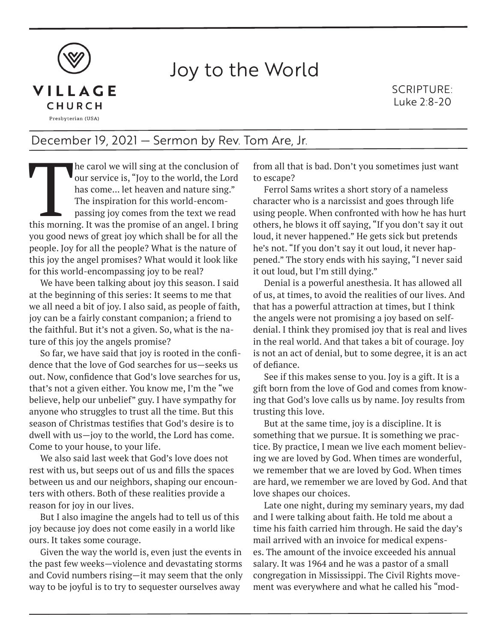

## Joy to the World

SCRIPTURE: Luke 2:8-20

## December 19, 2021 — Sermon by Rev. Tom Are, Jr.

The carol we will sing at the conclusion of our service is, "Joy to the world, the Lord has come... let heaven and nature sing." The inspiration for this world-encompassing joy comes from the text we read this morning. It our service is, "Joy to the world, the Lord has come... let heaven and nature sing." The inspiration for this world-encompassing joy comes from the text we read you good news of great joy which shall be for all the people. Joy for all the people? What is the nature of this joy the angel promises? What would it look like for this world-encompassing joy to be real?

We have been talking about joy this season. I said at the beginning of this series: It seems to me that we all need a bit of joy. I also said, as people of faith, joy can be a fairly constant companion; a friend to the faithful. But it's not a given. So, what is the nature of this joy the angels promise?

So far, we have said that joy is rooted in the confidence that the love of God searches for us—seeks us out. Now, confidence that God's love searches for us, that's not a given either. You know me, I'm the "we believe, help our unbelief" guy. I have sympathy for anyone who struggles to trust all the time. But this season of Christmas testifies that God's desire is to dwell with us—joy to the world, the Lord has come. Come to your house, to your life.

We also said last week that God's love does not rest with us, but seeps out of us and fills the spaces between us and our neighbors, shaping our encounters with others. Both of these realities provide a reason for joy in our lives.

But I also imagine the angels had to tell us of this joy because joy does not come easily in a world like ours. It takes some courage.

Given the way the world is, even just the events in the past few weeks—violence and devastating storms and Covid numbers rising—it may seem that the only way to be joyful is to try to sequester ourselves away

from all that is bad. Don't you sometimes just want to escape?

Ferrol Sams writes a short story of a nameless character who is a narcissist and goes through life using people. When confronted with how he has hurt others, he blows it off saying, "If you don't say it out loud, it never happened." He gets sick but pretends he's not. "If you don't say it out loud, it never happened." The story ends with his saying, "I never said it out loud, but I'm still dying."

Denial is a powerful anesthesia. It has allowed all of us, at times, to avoid the realities of our lives. And that has a powerful attraction at times, but I think the angels were not promising a joy based on selfdenial. I think they promised joy that is real and lives in the real world. And that takes a bit of courage. Joy is not an act of denial, but to some degree, it is an act of defiance.

See if this makes sense to you. Joy is a gift. It is a gift born from the love of God and comes from knowing that God's love calls us by name. Joy results from trusting this love.

But at the same time, joy is a discipline. It is something that we pursue. It is something we practice. By practice, I mean we live each moment believing we are loved by God. When times are wonderful, we remember that we are loved by God. When times are hard, we remember we are loved by God. And that love shapes our choices.

Late one night, during my seminary years, my dad and I were talking about faith. He told me about a time his faith carried him through. He said the day's mail arrived with an invoice for medical expenses. The amount of the invoice exceeded his annual salary. It was 1964 and he was a pastor of a small congregation in Mississippi. The Civil Rights movement was everywhere and what he called his "mod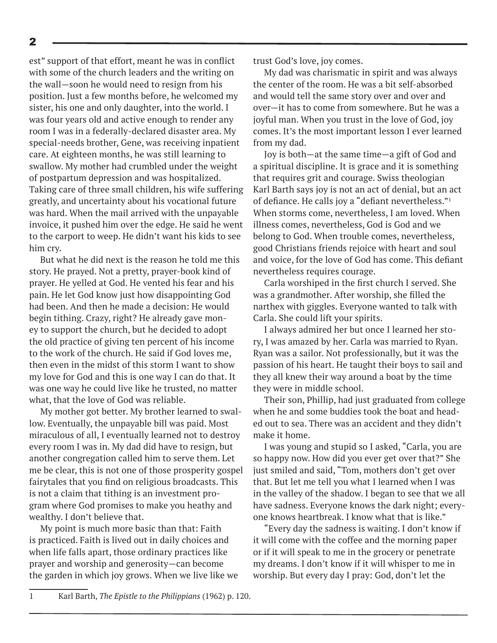2

est" support of that effort, meant he was in conflict with some of the church leaders and the writing on the wall—soon he would need to resign from his position. Just a few months before, he welcomed my sister, his one and only daughter, into the world. I was four years old and active enough to render any room I was in a federally-declared disaster area. My special-needs brother, Gene, was receiving inpatient care. At eighteen months, he was still learning to swallow. My mother had crumbled under the weight of postpartum depression and was hospitalized. Taking care of three small children, his wife suffering greatly, and uncertainty about his vocational future was hard. When the mail arrived with the unpayable invoice, it pushed him over the edge. He said he went to the carport to weep. He didn't want his kids to see him cry.

But what he did next is the reason he told me this story. He prayed. Not a pretty, prayer-book kind of prayer. He yelled at God. He vented his fear and his pain. He let God know just how disappointing God had been. And then he made a decision: He would begin tithing. Crazy, right? He already gave money to support the church, but he decided to adopt the old practice of giving ten percent of his income to the work of the church. He said if God loves me, then even in the midst of this storm I want to show my love for God and this is one way I can do that. It was one way he could live like he trusted, no matter what, that the love of God was reliable.

My mother got better. My brother learned to swallow. Eventually, the unpayable bill was paid. Most miraculous of all, I eventually learned not to destroy every room I was in. My dad did have to resign, but another congregation called him to serve them. Let me be clear, this is not one of those prosperity gospel fairytales that you find on religious broadcasts. This is not a claim that tithing is an investment program where God promises to make you heathy and wealthy. I don't believe that.

My point is much more basic than that: Faith is practiced. Faith is lived out in daily choices and when life falls apart, those ordinary practices like prayer and worship and generosity—can become the garden in which joy grows. When we live like we trust God's love, joy comes.

My dad was charismatic in spirit and was always the center of the room. He was a bit self-absorbed and would tell the same story over and over and over—it has to come from somewhere. But he was a joyful man. When you trust in the love of God, joy comes. It's the most important lesson I ever learned from my dad.

Joy is both—at the same time—a gift of God and a spiritual discipline. It is grace and it is something that requires grit and courage. Swiss theologian Karl Barth says joy is not an act of denial, but an act of defiance. He calls joy a "defiant nevertheless."<sup>1</sup> When storms come, nevertheless, I am loved. When illness comes, nevertheless, God is God and we belong to God. When trouble comes, nevertheless, good Christians friends rejoice with heart and soul and voice, for the love of God has come. This defiant nevertheless requires courage.

Carla worshiped in the first church I served. She was a grandmother. After worship, she filled the narthex with giggles. Everyone wanted to talk with Carla. She could lift your spirits.

I always admired her but once I learned her story, I was amazed by her. Carla was married to Ryan. Ryan was a sailor. Not professionally, but it was the passion of his heart. He taught their boys to sail and they all knew their way around a boat by the time they were in middle school.

Their son, Phillip, had just graduated from college when he and some buddies took the boat and headed out to sea. There was an accident and they didn't make it home.

I was young and stupid so I asked, "Carla, you are so happy now. How did you ever get over that?" She just smiled and said, "Tom, mothers don't get over that. But let me tell you what I learned when I was in the valley of the shadow. I began to see that we all have sadness. Everyone knows the dark night; everyone knows heartbreak. I know what that is like."

"Every day the sadness is waiting. I don't know if it will come with the coffee and the morning paper or if it will speak to me in the grocery or penetrate my dreams. I don't know if it will whisper to me in worship. But every day I pray: God, don't let the